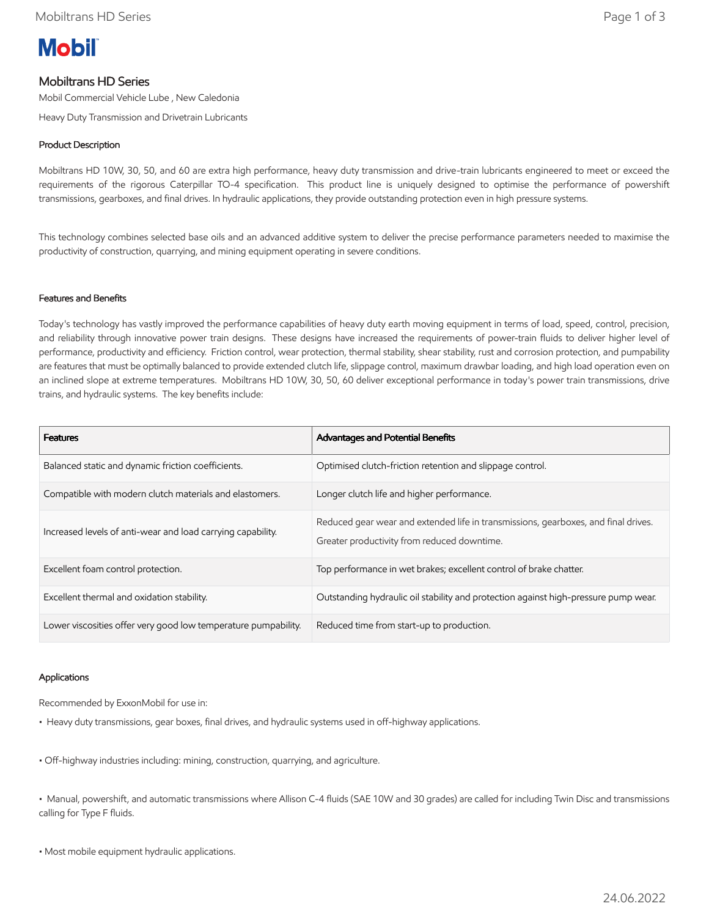# **Mobil**

# Mobiltrans HD Series

Mobil Commercial Vehicle Lube , New Caledonia

Heavy Duty Transmission and Drivetrain Lubricants

# Product Description

Mobiltrans HD 10W, 30, 50, and 60 are extra high performance, heavy duty transmission and drive-train lubricants engineered to meet or exceed the requirements of the rigorous Caterpillar TO-4 specification. This product line is uniquely designed to optimise the performance of powershift transmissions, gearboxes, and final drives. In hydraulic applications, they provide outstanding protection even in high pressure systems.

This technology combines selected base oils and an advanced additive system to deliver the precise performance parameters needed to maximise the productivity of construction, quarrying, and mining equipment operating in severe conditions.

#### Features and Benefits

Today's technology has vastly improved the performance capabilities of heavy duty earth moving equipment in terms of load, speed, control, precision, and reliability through innovative power train designs. These designs have increased the requirements of power-train fluids to deliver higher level of performance, productivity and efficiency. Friction control, wear protection, thermal stability, shear stability, rust and corrosion protection, and pumpability are features that must be optimally balanced to provide extended clutch life, slippage control, maximum drawbar loading, and high load operation even on an inclined slope at extreme temperatures. Mobiltrans HD 10W, 30, 50, 60 deliver exceptional performance in today's power train transmissions, drive trains, and hydraulic systems. The key benefits include:

| <b>Features</b>                                                | Advantages and Potential Benefits                                                                                                 |
|----------------------------------------------------------------|-----------------------------------------------------------------------------------------------------------------------------------|
| Balanced static and dynamic friction coefficients.             | Optimised clutch-friction retention and slippage control.                                                                         |
| Compatible with modern clutch materials and elastomers.        | Longer clutch life and higher performance.                                                                                        |
| Increased levels of anti-wear and load carrying capability.    | Reduced gear wear and extended life in transmissions, gearboxes, and final drives.<br>Greater productivity from reduced downtime. |
| Excellent foam control protection.                             | Top performance in wet brakes; excellent control of brake chatter.                                                                |
| Excellent thermal and oxidation stability.                     | Outstanding hydraulic oil stability and protection against high-pressure pump wear.                                               |
| Lower viscosities offer very good low temperature pumpability. | Reduced time from start-up to production.                                                                                         |

## Applications

Recommended by ExxonMobil for use in:

- Heavy duty transmissions, gear boxes, final drives, and hydraulic systems used in off-highway applications.
- Off-highway industries including: mining, construction, quarrying, and agriculture.

• Manual, powershift, and automatic transmissions where Allison C-4 fluids (SAE 10W and 30 grades) are called for including Twin Disc and transmissions calling for Type F fluids.

• Most mobile equipment hydraulic applications.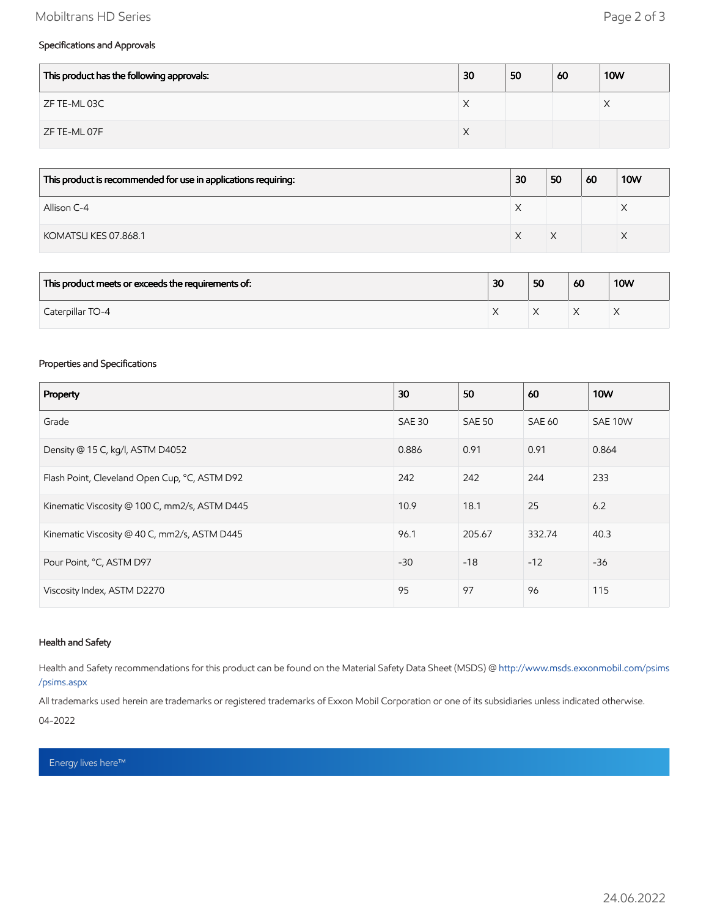# Mobiltrans HD Series **Page 2 of 3**

## Specifications and Approvals

| This product has the following approvals: | 30         | 50 | 60 | <b>10W</b> |
|-------------------------------------------|------------|----|----|------------|
| ZF TE-ML 03C                              | $\sqrt{ }$ |    |    |            |
| ZF TE-ML 07F                              | $\lambda$  |    |    |            |

| This product is recommended for use in applications requiring: | 30        | 50 | 60 | <b>10W</b> |
|----------------------------------------------------------------|-----------|----|----|------------|
| Allison C-4                                                    | $\lambda$ |    |    | ⌒          |
| KOMATSU KES 07.868.1                                           |           |    |    |            |

| This product meets or exceeds the requirements of: | 30        | 50 | 60 | <b>10W</b> |
|----------------------------------------------------|-----------|----|----|------------|
| Caterpillar TO-4                                   | $\lambda$ |    |    |            |

#### Properties and Specifications

| Property                                      | 30            | 50            | 60     | <b>10W</b> |
|-----------------------------------------------|---------------|---------------|--------|------------|
| Grade                                         | <b>SAE 30</b> | <b>SAE 50</b> | SAE 60 | SAE 10W    |
| Density @ 15 C, kg/l, ASTM D4052              | 0.886         | 0.91          | 0.91   | 0.864      |
| Flash Point, Cleveland Open Cup, °C, ASTM D92 | 242           | 242           | 244    | 233        |
| Kinematic Viscosity @ 100 C, mm2/s, ASTM D445 | 10.9          | 18.1          | 25     | 6.2        |
| Kinematic Viscosity @ 40 C, mm2/s, ASTM D445  | 96.1          | 205.67        | 332.74 | 40.3       |
| Pour Point, °C, ASTM D97                      | $-30$         | $-18$         | $-12$  | $-36$      |
| Viscosity Index, ASTM D2270                   | 95            | 97            | 96     | 115        |

### Health and Safety

Health and Safety recommendations for this product can be found on the Material Safety Data Sheet (MSDS) @ [http://www.msds.exxonmobil.com/psims](http://www.msds.exxonmobil.com/psims/psims.aspx) /psims.aspx

All trademarks used herein are trademarks or registered trademarks of Exxon Mobil Corporation or one of its subsidiaries unless indicated otherwise. 04-2022

## Energy lives here™